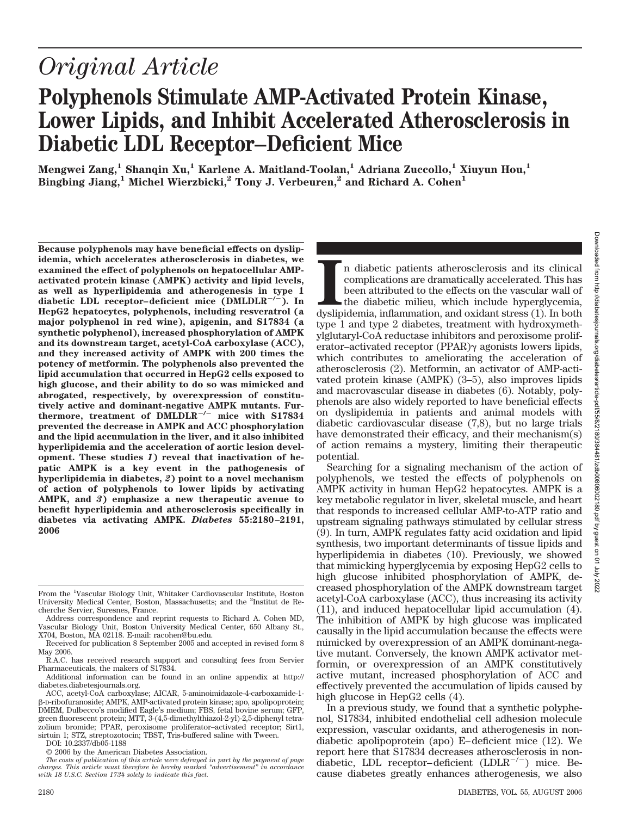# *Original Article*

# **Polyphenols Stimulate AMP-Activated Protein Kinase, Lower Lipids, and Inhibit Accelerated Atherosclerosis in Diabetic LDL Receptor–Deficient Mice**

**Mengwei Zang,1 Shanqin Xu,1 Karlene A. Maitland-Toolan,1 Adriana Zuccollo,1 Xiuyun Hou,1 Bingbing Jiang,1 Michel Wierzbicki,2 Tony J. Verbeuren,2 and Richard A. Cohen1**

**Because polyphenols may have beneficial effects on dyslipidemia, which accelerates atherosclerosis in diabetes, we examined the effect of polyphenols on hepatocellular AMPactivated protein kinase (AMPK) activity and lipid levels, as well as hyperlipidemia and atherogenesis in type 1 diabetic LDL receptor– deficient mice (DMLDLR/). In HepG2 hepatocytes, polyphenols, including resveratrol (a major polyphenol in red wine), apigenin, and S17834 (a synthetic polyphenol), increased phosphorylation of AMPK and its downstream target, acetyl-CoA carboxylase (ACC), and they increased activity of AMPK with 200 times the potency of metformin. The polyphenols also prevented the lipid accumulation that occurred in HepG2 cells exposed to high glucose, and their ability to do so was mimicked and abrogated, respectively, by overexpression of constitutively active and dominant-negative AMPK mutants. Furthermore, treatment of DMLDLR/ mice with S17834 prevented the decrease in AMPK and ACC phosphorylation and the lipid accumulation in the liver, and it also inhibited hyperlipidemia and the acceleration of aortic lesion development. These studies** *1***) reveal that inactivation of hepatic AMPK is a key event in the pathogenesis of hyperlipidemia in diabetes,** *2***) point to a novel mechanism of action of polyphenols to lower lipids by activating AMPK, and** *3***) emphasize a new therapeutic avenue to benefit hyperlipidemia and atherosclerosis specifically in diabetes via activating AMPK.** *Diabetes* **55:2180 –2191, 2006**

In diabetic patients atherosclerosis and its clinical complications are dramatically accelerated. This has been attributed to the effects on the vascular wall of the diabetic milieu, which include hyperglycemia, dyslipidem n diabetic patients atherosclerosis and its clinical complications are dramatically accelerated. This has been attributed to the effects on the vascular wall of the diabetic milieu, which include hyperglycemia, type 1 and type 2 diabetes, treatment with hydroxymethylglutaryl-CoA reductase inhibitors and peroxisome proliferator–activated receptor (PPAR) $\gamma$  agonists lowers lipids, which contributes to ameliorating the acceleration of atherosclerosis (2). Metformin, an activator of AMP-activated protein kinase (AMPK) (3–5), also improves lipids and macrovascular disease in diabetes (6). Notably, polyphenols are also widely reported to have beneficial effects on dyslipidemia in patients and animal models with diabetic cardiovascular disease (7,8), but no large trials have demonstrated their efficacy, and their mechanism(s) of action remains a mystery, limiting their therapeutic potential.

Searching for a signaling mechanism of the action of polyphenols, we tested the effects of polyphenols on AMPK activity in human HepG2 hepatocytes. AMPK is a key metabolic regulator in liver, skeletal muscle, and heart that responds to increased cellular AMP-to-ATP ratio and upstream signaling pathways stimulated by cellular stress (9). In turn, AMPK regulates fatty acid oxidation and lipid synthesis, two important determinants of tissue lipids and hyperlipidemia in diabetes (10). Previously, we showed that mimicking hyperglycemia by exposing HepG2 cells to high glucose inhibited phosphorylation of AMPK, decreased phosphorylation of the AMPK downstream target acetyl-CoA carboxylase (ACC), thus increasing its activity (11), and induced hepatocellular lipid accumulation (4). The inhibition of AMPK by high glucose was implicated causally in the lipid accumulation because the effects were mimicked by overexpression of an AMPK dominant-negative mutant. Conversely, the known AMPK activator metformin, or overexpression of an AMPK constitutively active mutant, increased phosphorylation of ACC and effectively prevented the accumulation of lipids caused by high glucose in HepG2 cells (4).

In a previous study, we found that a synthetic polyphenol, S17834, inhibited endothelial cell adhesion molecule expression, vascular oxidants, and atherogenesis in nondiabetic apolipoprotein (apo) E– deficient mice (12). We report here that S17834 decreases atherosclerosis in nondiabetic, LDL receptor-deficient (LDLR<sup>-/-</sup>) mice. Because diabetes greatly enhances atherogenesis, we also

From the <sup>1</sup>Vascular Biology Unit, Whitaker Cardiovascular Institute, Boston University Medical Center, Boston, Massachusetts; and the <sup>2</sup>Institut de Recherche Servier, Suresnes, France.

Address correspondence and reprint requests to Richard A. Cohen MD, Vascular Biology Unit, Boston University Medical Center, 650 Albany St., X704, Boston, MA 02118. E-mail: racohen@bu.edu.

Received for publication 8 September 2005 and accepted in revised form 8 May 2006.

R.A.C. has received research support and consulting fees from Servier Pharmaceuticals, the makers of S17834.

Additional information can be found in an online appendix at http:// diabetes.diabetesjournals.org.

ACC, acetyl-CoA carboxylase; AICAR, 5-aminoimidazole-4-carboxamide-1- -D-ribofuranoside; AMPK, AMP-activated protein kinase; apo, apolipoprotein; DMEM, Dulbecco's modified Eagle's medium; FBS, fetal bovine serum; GFP, green fluorescent protein; MTT, 3-(4,5-dimethylthiazol-2-yl)-2,5-diphenyl tetrazolium bromide; PPAR, peroxisome proliferator–activated receptor; Sirt1, sirtuin 1; STZ, streptozotocin; TBST, Tris-buffered saline with Tween.

DOI: 10.2337/db05-1188

<sup>© 2006</sup> by the American Diabetes Association.

*The costs of publication of this article were defrayed in part by the payment of page charges. This article must therefore be hereby marked "advertisement" in accordance with 18 U.S.C. Section 1734 solely to indicate this fact.*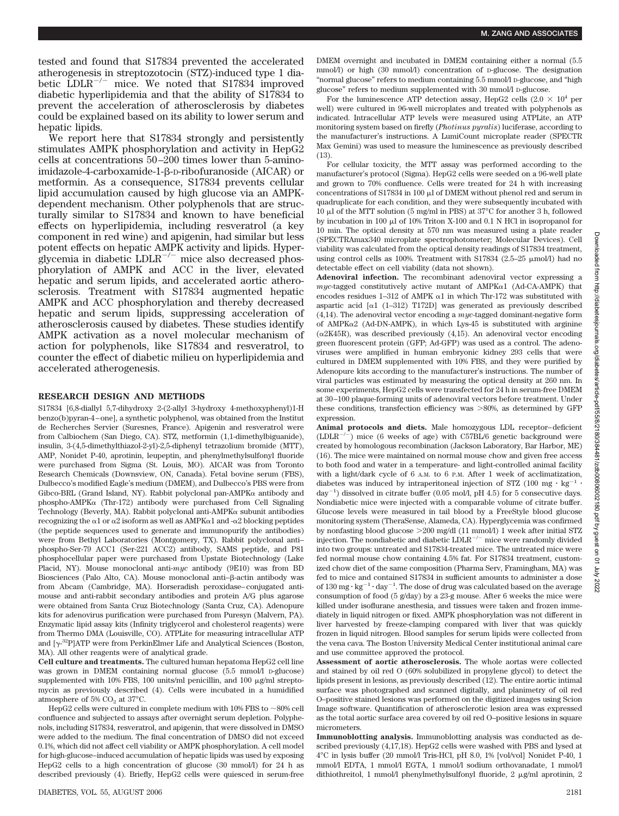tested and found that S17834 prevented the accelerated atherogenesis in streptozotocin (STZ)-induced type 1 diabetic  $LDLR^{-/-}$  mice. We noted that S17834 improved diabetic hyperlipidemia and that the ability of S17834 to prevent the acceleration of atherosclerosis by diabetes could be explained based on its ability to lower serum and hepatic lipids.

We report here that S17834 strongly and persistently stimulates AMPK phosphorylation and activity in HepG2 cells at concentrations 50 –200 times lower than 5-aminoimidazole-4-carboxamide-1-B-p-ribofuranoside (AICAR) or metformin. As a consequence, S17834 prevents cellular lipid accumulation caused by high glucose via an AMPKdependent mechanism. Other polyphenols that are structurally similar to S17834 and known to have beneficial effects on hyperlipidemia, including resveratrol (a key component in red wine) and apigenin, had similar but less potent effects on hepatic AMPK activity and lipids. Hyperglycemia in diabetic  $LDLR^{-/-}$  mice also decreased phosphorylation of AMPK and ACC in the liver, elevated hepatic and serum lipids, and accelerated aortic atherosclerosis. Treatment with S17834 augmented hepatic AMPK and ACC phosphorylation and thereby decreased hepatic and serum lipids, suppressing acceleration of atherosclerosis caused by diabetes. These studies identify AMPK activation as a novel molecular mechanism of action for polyphenols, like S17834 and resveratrol, to counter the effect of diabetic milieu on hyperlipidemia and accelerated atherogenesis.

#### **RESEARCH DESIGN AND METHODS**

S17834 [6,8-diallyl 5,7-dihydroxy 2-(2-allyl 3-hydroxy 4-methoxyphenyl)1-H benzo(b)pyran-4 – one], a synthetic polyphenol, was obtained from the Institut de Recherches Servier (Suresnes, France). Apigenin and resveratrol were from Calbiochem (San Diego, CA). STZ, metformin (1,1-dimethylbiguanide), insulin, 3-(4,5-dimethylthiazol-2-yl)-2,5-diphenyl tetrazolium bromide (MTT), AMP, Nonidet P-40, aprotinin, leupeptin, and phenylmethylsulfonyl fluoride were purchased from Sigma (St. Louis, MO). AICAR was from Toronto Research Chemicals (Downsview, ON, Canada). Fetal bovine serum (FBS), Dulbecco's modified Eagle's medium (DMEM), and Dulbecco's PBS were from Gibco-BRL (Grand Island, NY). Rabbit polyclonal pan-AMPK $\alpha$  antibody and phospho-AMPK $\alpha$  (Thr-172) antibody were purchased from Cell Signaling Technology (Beverly, MA). Rabbit polyclonal anti-AMPK $\alpha$  subunit antibodies recognizing the  $\alpha$ 1 or  $\alpha$ 2 isoform as well as AMPK $\alpha$ 1 and - $\alpha$ 2 blocking peptides (the peptide sequences used to generate and immunopurify the antibodies) were from Bethyl Laboratories (Montgomery, TX). Rabbit polyclonal anti– phospho-Ser-79 ACC1 (Ser-221 ACC2) antibody, SAMS peptide, and P81 phosphocellular paper were purchased from Upstate Biotechnology (Lake Placid, NY). Mouse monoclonal anti-*myc* antibody (9E10) was from BD Biosciences (Palo Alto, CA). Mouse monoclonal anti- $\beta$ -actin antibody was from Abcam (Cambridge, MA). Horseradish peroxidase– conjugated antimouse and anti-rabbit secondary antibodies and protein A/G plus agarose were obtained from Santa Cruz Biotechnology (Santa Cruz, CA). Adenopure kits for adenovirus purification were purchased from Puresyn (Malvern, PA). Enzymatic lipid assay kits (Infinity triglycerol and cholesterol reagents) were from Thermo DMA (Louisville, CO). ATPLite for measuring intracellular ATP and [ $\gamma$ <sup>-32</sup>P]ATP were from PerkinElmer Life and Analytical Sciences (Boston, MA). All other reagents were of analytical grade.

**Cell culture and treatments.** The cultured human hepatoma HepG2 cell line was grown in DMEM containing normal glucose (5.5 mmol/l D-glucose) supplemented with 10% FBS, 100 units/ml penicillin, and 100  $\mu$ g/ml streptomycin as previously described (4). Cells were incubated in a humidified atmosphere of  $5\%$  CO<sub>2</sub> at  $37^{\circ}$ C.

HepG2 cells were cultured in complete medium with 10% FBS to  $\sim\!80\%$  cell confluence and subjected to assays after overnight serum depletion. Polyphenols, including S17834, resveratrol, and apigenin, that were dissolved in DMSO were added to the medium. The final concentration of DMSO did not exceed 0.1%, which did not affect cell viability or AMPK phosphorylation. A cell model for high-glucose–induced accumulation of hepatic lipids was used by exposing HepG2 cells to a high concentration of glucose (30 mmol/l) for 24 h as described previously (4). Briefly, HepG2 cells were quiesced in serum-free

For the luminescence ATP detection assay, HepG2 cells  $(2.0 \times 10^4 \text{ per}$ well) were cultured in 96-well microplates and treated with polyphenols as indicated. Intracellular ATP levels were measured using ATPLite, an ATP monitoring system based on firefly (*Photinus pyralis*) luciferase, according to the manufacturer's instructions. A LumiCount microplate reader (SPECTR Max Gemini) was used to measure the luminescence as previously described (13).

For cellular toxicity, the MTT assay was performed according to the manufacturer's protocol (Sigma). HepG2 cells were seeded on a 96-well plate and grown to 70% confluence. Cells were treated for 24 h with increasing concentrations of S17834 in 100  $\mu$ l of DMEM without phenol red and serum in quadruplicate for each condition, and they were subsequently incubated with 10  $\mu$ l of the MTT solution (5 mg/ml in PBS) at 37°C for another 3 h, followed by incubation in 100  $\mu$ l of 10% Triton X-100 and 0.1 N HCl in isopropanol for 10 min. The optical density at 570 nm was measured using a plate reader (SPECTRAmax340 microplate spectrophotometer; Molecular Devices). Cell viability was calculated from the optical density readings of S17834 treatment, using control cells as 100%. Treatment with S17834 (2.5–25  $\mu$ mol/l) had no detectable effect on cell viability (data not shown).

**Adenoviral infection.** The recombinant adenoviral vector expressing a  $muc$ -tagged constitutively active mutant of  $AMPK\alpha1$  (Ad-CA-AMPK) that encodes residues 1–312 of AMPK  $\alpha$ 1 in which Thr-172 was substituted with aspartic acid  $\lceil \alpha 1 \rceil (1-312)$  T172D] was generated as previously described (4,14). The adenoviral vector encoding a *myc*-tagged dominant-negative form of AMPK $\alpha$ 2 (Ad-DN-AMPK), in which Lys-45 is substituted with arginine ( $\alpha$ 2K45R), was described previously (4,15). An adenoviral vector encoding green fluorescent protein (GFP; Ad-GFP) was used as a control. The adenoviruses were amplified in human embryonic kidney 293 cells that were cultured in DMEM supplemented with 10% FBS, and they were purified by Adenopure kits according to the manufacturer's instructions. The number of viral particles was estimated by measuring the optical density at 260 nm. In some experiments, HepG2 cells were transfected for 24 h in serum-free DMEM at 30 –100 plaque-forming units of adenoviral vectors before treatment. Under these conditions, transfection efficiency was  $>80\%$ , as determined by GFP expression.

**Animal protocols and diets.** Male homozygous LDL receptor– deficient  $(LDLR^{-/-})$  mice (6 weeks of age) with C57BL/6 genetic background were created by homologous recombination (Jackson Laboratory, Bar Harbor, ME) (16). The mice were maintained on normal mouse chow and given free access to both food and water in a temperature- and light-controlled animal facility with a light/dark cycle of 6 A.M. to 6 P.M. After 1 week of acclimatization, diabetes was induced by intraperitoneal injection of STZ (100 mg  $\cdot$  kg<sup>-1</sup>  $\cdot$  $day^{-1}$ ) dissolved in citrate buffer (0.05 mol/l, pH 4.5) for 5 consecutive days. Nondiabetic mice were injected with a comparable volume of citrate buffer. Glucose levels were measured in tail blood by a FreeStyle blood glucose monitoring system (TheraSense, Alameda, CA). Hyperglycemia was confirmed by nonfasting blood glucose 200 mg/dl (11 mmol/l) 1 week after initial STZ injection. The nondiabetic and diabetic  ${\rm LDLR}^{-/-}$  mice were randomly divided into two groups: untreated and S17834-treated mice. The untreated mice were fed normal mouse chow containing 4.5% fat. For S17834 treatment, customized chow diet of the same composition (Pharma Serv, Framingham, MA) was fed to mice and contained S17834 in sufficient amounts to administer a dose of  $130$  mg·kg<sup>-1</sup>·day<sup>-1</sup>. The dose of drug was calculated based on the average consumption of food (5 g/day) by a 23-g mouse. After 6 weeks the mice were killed under isoflurane anesthesia, and tissues were taken and frozen immediately in liquid nitrogen or fixed. AMPK phosphorylation was not different in liver harvested by freeze-clamping compared with liver that was quickly frozen in liquid nitrogen. Blood samples for serum lipids were collected from the vena cava. The Boston University Medical Center institutional animal care and use committee approved the protocol.

**Assessment of aortic atherosclerosis.** The whole aortas were collected and stained by oil red O (60% solubilized in propylene glycol) to detect the lipids present in lesions, as previously described (12). The entire aortic intimal surface was photographed and scanned digitally, and planimetry of oil red O–positive stained lesions was performed on the digitized images using Scion Image software. Quantification of atherosclerotic lesion area was expressed as the total aortic surface area covered by oil red O–positive lesions in square micrometers.

**Immunoblotting analysis.** Immunoblotting analysis was conducted as described previously (4,17,18). HepG2 cells were washed with PBS and lysed at 4°C in lysis buffer (20 mmol/l Tris-HCl, pH 8.0, 1% [vol/vol] Nonidet P-40, 1 mmol/l EDTA, 1 mmol/l EGTA, 1 mmol/l sodium orthovanadate, 1 mmol/l dithiothreitol, 1 mmol/l phenylmethylsulfonyl fluoride, 2 µg/ml aprotinin, 2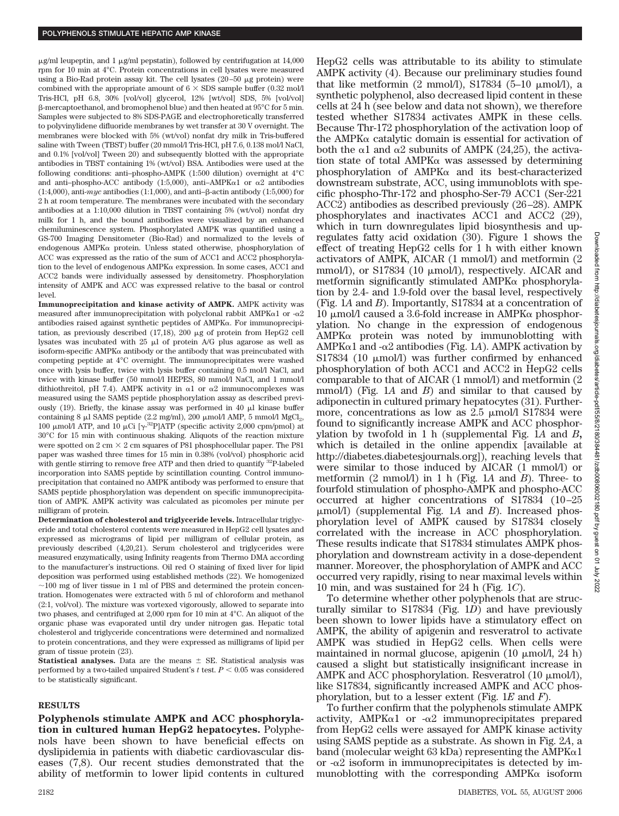$\mu$ g/ml leupeptin, and 1  $\mu$ g/ml pepstatin), followed by centrifugation at 14,000 rpm for 10 min at 4°C. Protein concentrations in cell lysates were measured using a Bio-Rad protein assay kit. The cell lysates  $(20-50 \text{ µg protein})$  were combined with the appropriate amount of  $6 \times$  SDS sample buffer (0.32 mol/l Tris-HCl, pH 6.8, 30% [vol/vol] glycerol, 12% [wt/vol] SDS, 5% [vol/vol] -mercaptoethanol, and bromophenol blue) and then heated at 95°C for 5 min. Samples were subjected to 8% SDS-PAGE and electrophoretically transferred to polyvinylidene difluoride membranes by wet transfer at 30 V overnight. The membranes were blocked with 5% (wt/vol) nonfat dry milk in Tris-buffered saline with Tween (TBST) buffer (20 mmol/l Tris-HCl, pH 7.6, 0.138 mol/l NaCl, and 0.1% [vol/vol] Tween 20) and subsequently blotted with the appropriate antibodies in TBST containing 1% (wt/vol) BSA. Antibodies were used at the following conditions: anti–phospho-AMPK (1:500 dilution) overnight at 4°C and anti-phospho-ACC antibody (1:5,000), anti-AMPK $\alpha$ 1 or  $\alpha$ 2 antibodies  $(1:4,000)$ , anti- $myc$  antibodies  $(1:1,000)$ , and anti- $\beta$ -actin antibody  $(1:5,000)$  for 2 h at room temperature. The membranes were incubated with the secondary antibodies at a 1:10,000 dilution in TBST containing 5% (wt/vol) nonfat dry milk for 1 h, and the bound antibodies were visualized by an enhanced chemiluminescence system. Phosphorylated AMPK was quantified using a GS-700 Imaging Densitometer (Bio-Rad) and normalized to the levels of endogenous AMPK $\alpha$  protein. Unless stated otherwise, phosphorylation of ACC was expressed as the ratio of the sum of ACC1 and ACC2 phosphorylation to the level of endogenous  $AMPK\alpha$  expression. In some cases, ACC1 and ACC2 bands were individually assessed by densitometry. Phosphorylation intensity of AMPK and ACC was expressed relative to the basal or control level.

**Immunoprecipitation and kinase activity of AMPK.** AMPK activity was measured after immunoprecipitation with polyclonal rabbit  $\text{AMPK}\alpha1$  or  $-\alpha2$ antibodies raised against synthetic peptides of  $AMPK\alpha$ . For immunoprecipitation, as previously described  $(17,18)$ , 200  $\mu$ g of protein from HepG2 cell lysates was incubated with  $25 \mu l$  of protein A/G plus agarose as well as isoform-specific AMPK $\alpha$  antibody or the antibody that was preincubated with competing peptide at 4°C overnight. The immunoprecipitates were washed once with lysis buffer, twice with lysis buffer containing 0.5 mol/l NaCl, and twice with kinase buffer (50 mmol/l HEPES, 80 mmol/l NaCl, and 1 mmol/l dithiothreitol, pH 7.4). AMPK activity in  $\alpha$ 1 or  $\alpha$ 2 immunocomplexes was measured using the SAMS peptide phosphorylation assay as described previously (19). Briefly, the kinase assay was performed in 40  $\mu$ l kinase buffer containing 8  $\mu$ l SAMS peptide (2.2 mg/ml), 200  $\mu$ mol/l AMP, 5 mmol/l MgCl<sub>2</sub>, 100  $\mu$ mol/l ATP, and 10  $\mu$ Ci [ $\gamma$ -<sup>32</sup>P]ATP (specific activity 2,000 cpm/pmol) at 30°C for 15 min with continuous shaking. Aliquots of the reaction mixture were spotted on  $2 \text{ cm} \times 2 \text{ cm}$  squares of P81 phosphocellular paper. The P81 paper was washed three times for 15 min in 0.38% (vol/vol) phosphoric acid with gentle stirring to remove free ATP and then dried to quantify 32P-labeled incorporation into SAMS peptide by scintillation counting. Control immunoprecipitation that contained no AMPK antibody was performed to ensure that SAMS peptide phosphorylation was dependent on specific immunoprecipitation of AMPK. AMPK activity was calculated as picomoles per minute per milligram of protein.

**Determination of cholesterol and triglyceride levels.** Intracellular triglyceride and total cholesterol contents were measured in HepG2 cell lysates and expressed as micrograms of lipid per milligram of cellular protein, as previously described (4,20,21). Serum cholesterol and triglycerides were measured enzymatically, using Infinity reagents from Thermo DMA according to the manufacturer's instructions. Oil red O staining of fixed liver for lipid deposition was performed using established methods (22). We homogenized  $\sim$ 100 mg of liver tissue in 1 ml of PBS and determined the protein concentration. Homogenates were extracted with 5 ml of chloroform and methanol (2:1, vol/vol). The mixture was vortexed vigorously, allowed to separate into two phases, and centrifuged at 2,000 rpm for 10 min at 4°C. An aliquot of the organic phase was evaporated until dry under nitrogen gas. Hepatic total cholesterol and triglyceride concentrations were determined and normalized to protein concentrations, and they were expressed as milligrams of lipid per gram of tissue protein (23).

**Statistical analyses.** Data are the means  $\pm$  SE. Statistical analysis was performed by a two-tailed unpaired Student's  $t$  test.  $P < 0.05$  was considered to be statistically significant.

#### **RESULTS**

**Polyphenols stimulate AMPK and ACC phosphorylation in cultured human HepG2 hepatocytes.** Polyphenols have been shown to have beneficial effects on dyslipidemia in patients with diabetic cardiovascular diseases (7,8). Our recent studies demonstrated that the ability of metformin to lower lipid contents in cultured

AMPK activity (4). Because our preliminary studies found that like metformin  $(2 \text{ mmol/l})$ , S17834  $(5-10 \text{ mmol/l})$ , a synthetic polyphenol, also decreased lipid content in these cells at 24 h (see below and data not shown), we therefore tested whether S17834 activates AMPK in these cells. Because Thr-172 phosphorylation of the activation loop of the AMPK $\alpha$  catalytic domain is essential for activation of both the  $\alpha$ 1 and  $\alpha$ 2 subunits of AMPK (24,25), the activation state of total AMPK $\alpha$  was assessed by determining phosphorylation of  $AMPK\alpha$  and its best-characterized downstream substrate, ACC, using immunoblots with specific phospho-Thr-172 and phospho-Ser-79 ACC1 (Ser-221 ACC2) antibodies as described previously (26 –28). AMPK phosphorylates and inactivates ACC1 and ACC2 (29), which in turn downregulates lipid biosynthesis and upregulates fatty acid oxidation (30). Figure 1 shows the effect of treating HepG2 cells for 1 h with either known activators of AMPK, AICAR (1 mmol/l) and metformin (2 mmol/l), or S17834 (10  $\mu$ mol/l), respectively. AICAR and metformin significantly stimulated  $AMPK\alpha$  phosphorylation by 2.4- and 1.9-fold over the basal level, respectively (Fig. 1*A* and *B*). Importantly, S17834 at a concentration of 10 μmol/l caused a 3.6-fold increase in  $\Delta MPK$  phosphorylation. No change in the expression of endogenous  $AMPK\alpha$  protein was noted by immunoblotting with  $AMPK\alpha1$  and  $-\alpha2$  antibodies (Fig. 1*A*). AMPK activation by S17834 (10  $\mu$ mol/l) was further confirmed by enhanced phosphorylation of both ACC1 and ACC2 in HepG2 cells comparable to that of AICAR (1 mmol/l) and metformin (2 mmol/l) (Fig. 1*A* and *B*) and similar to that caused by adiponectin in cultured primary hepatocytes (31). Furthermore, concentrations as low as  $2.5 \mu mol/1$  S17834 were found to significantly increase AMPK and ACC phosphorylation by twofold in 1 h (supplemental Fig. 1*A* and *B***,** which is detailed in the online appendix [available at http://diabetes.diabetesjournals.org]), reaching levels that were similar to those induced by AICAR (1 mmol/l) or metformin (2 mmol/l) in 1 h (Fig. 1*A* and *B*). Three- to fourfold stimulation of phospho-AMPK and phospho-ACC occurred at higher concentrations of S17834 (10 –25 mol/l) (supplemental Fig. 1*A* and *B*). Increased phosphorylation level of AMPK caused by S17834 closely correlated with the increase in ACC phosphorylation. These results indicate that S17834 stimulates AMPK phosphorylation and downstream activity in a dose-dependent manner. Moreover, the phosphorylation of AMPK and ACC occurred very rapidly, rising to near maximal levels within 10 min, and was sustained for 24 h (Fig. 1*C*).

HepG2 cells was attributable to its ability to stimulate

To determine whether other polyphenols that are structurally similar to S17834 (Fig. 1*D*) and have previously been shown to lower lipids have a stimulatory effect on AMPK, the ability of apigenin and resveratrol to activate AMPK was studied in HepG2 cells. When cells were maintained in normal glucose, apigenin (10  $\mu$ mol/l, 24 h) caused a slight but statistically insignificant increase in AMPK and ACC phosphorylation. Resveratrol  $(10 \mu \text{mol/l})$ , like S17834, significantly increased AMPK and ACC phosphorylation, but to a lesser extent (Fig. 1*E* and *F*).

To further confirm that the polyphenols stimulate AMPK activity, AMPK $\alpha$ 1 or - $\alpha$ 2 immunoprecipitates prepared from HepG2 cells were assayed for AMPK kinase activity using SAMS peptide as a substrate. As shown in Fig. 2*A*, a band (molecular weight 63 kDa) representing the AMPK $\alpha$ 1 or  $-\alpha$ 2 isoform in immunoprecipitates is detected by immunoblotting with the corresponding  $AMPK\alpha$  isoform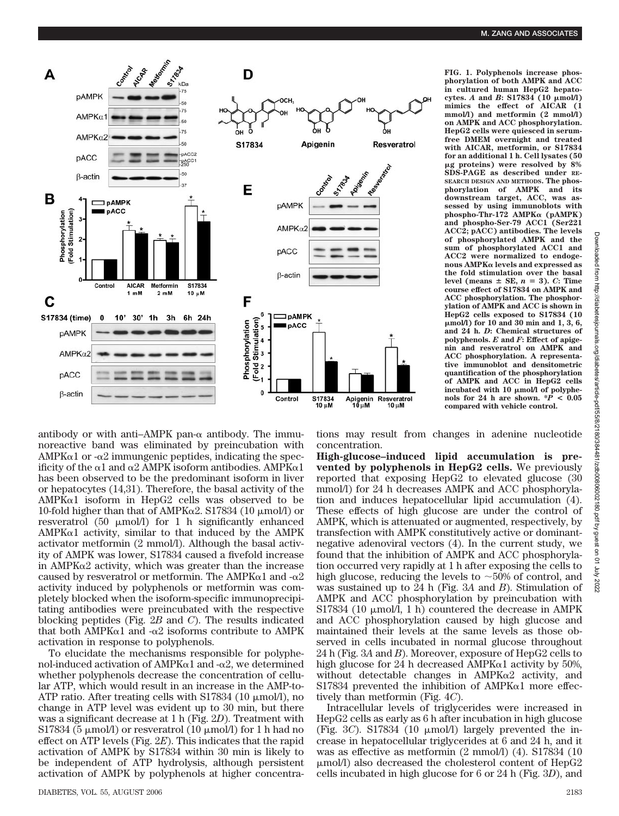

**FIG. 1. Polyphenols increase phosphorylation of both AMPK and ACC in cultured human HepG2 hepato-** $\text{cytes. } A \text{ and } B \text{: } S17834 \text{ (}10 \text{ }\mu\text{mol/l}\text{)}$ **mimics the effect of AICAR (1 mmol/l) and metformin (2 mmol/l) on AMPK and ACC phosphorylation. HepG2 cells were quiesced in serumfree DMEM overnight and treated with AICAR, metformin, or S17834 for an additional 1 h. Cell lysates (50** -**g proteins) were resolved by 8% SDS-PAGE as described under RE-SEARCH DESIGN AND METHODS. The phosphorylation of AMPK and its downstream target, ACC, was assessed by using immunoblots with phospho-Thr-172 AMPK (pAMPK) and phospho-Ser-79 ACC1 (Ser221 ACC2; pACC) antibodies. The levels of phosphorylated AMPK and the sum of phosphorylated ACC1 and ACC2 were normalized to endogenous AMPK levels and expressed as the fold stimulation over the basal** level (means  $\pm$  SE,  $n = 3$ ). *C*: Time **course effect of S17834 on AMPK and ACC phosphorylation. The phosphorylation of AMPK and ACC is shown in HepG2 cells exposed to S17834 (10** -**mol/l) for 10 and 30 min and 1, 3, 6, and 24 h.** *D***: Chemical structures of polyphenols.** *E* **and** *F***: Effect of apigenin and resveratrol on AMPK and ACC phosphorylation. A representative immunoblot and densitometric quantification of the phosphorylation of AMPK and ACC in HepG2 cells** incubated with 10  $\mu$ mol/l of polyphe-<br>nols for 24 h are shown. \* $P < 0.05$ **compared with vehicle control.**

antibody or with anti-AMPK pan- $\alpha$  antibody. The immunoreactive band was eliminated by preincubation with  $AMPK\alpha1$  or - $\alpha2$  immungenic peptides, indicating the specificity of the  $\alpha$ 1 and  $\alpha$ 2 AMPK isoform antibodies. AMPK $\alpha$ 1 has been observed to be the predominant isoform in liver or hepatocytes (14,31). Therefore, the basal activity of the  $AMPK\alpha1$  isoform in HepG2 cells was observed to be 10-fold higher than that of AMPK $\alpha$ 2. S17834 (10  $\mu$ mol/l) or resveratrol (50  $\mu$ mol/l) for 1 h significantly enhanced  $AMPK\alpha1$  activity, similar to that induced by the AMPK activator metformin (2 mmol/l). Although the basal activity of AMPK was lower, S17834 caused a fivefold increase in  $AMPK\alpha2$  activity, which was greater than the increase caused by resveratrol or metformin. The AMPK $\alpha$ 1 and - $\alpha$ 2 activity induced by polyphenols or metformin was completely blocked when the isoform-specific immunoprecipitating antibodies were preincubated with the respective blocking peptides (Fig. 2*B* and *C*). The results indicated that both AMPK $\alpha$ 1 and - $\alpha$ 2 isoforms contribute to AMPK activation in response to polyphenols.

To elucidate the mechanisms responsible for polyphenol-induced activation of AMPK $\alpha$ 1 and - $\alpha$ 2, we determined whether polyphenols decrease the concentration of cellular ATP, which would result in an increase in the AMP-to-ATP ratio. After treating cells with S17834 (10 µmol/l), no change in ATP level was evident up to 30 min, but there was a significant decrease at 1 h (Fig. 2*D*). Treatment with S17834 (5  $\mu$ mol/l) or resveratrol (10  $\mu$ mol/l) for 1 h had no effect on ATP levels (Fig. 2*E*). This indicates that the rapid activation of AMPK by S17834 within 30 min is likely to be independent of ATP hydrolysis, although persistent activation of AMPK by polyphenols at higher concentrations may result from changes in adenine nucleotide concentration.

**High-glucose–induced lipid accumulation is prevented by polyphenols in HepG2 cells.** We previously reported that exposing HepG2 to elevated glucose (30 mmol/l) for 24 h decreases AMPK and ACC phosphorylation and induces hepatocellular lipid accumulation (4). These effects of high glucose are under the control of AMPK, which is attenuated or augmented, respectively, by transfection with AMPK constitutively active or dominantnegative adenoviral vectors (4). In the current study, we found that the inhibition of AMPK and ACC phosphorylation occurred very rapidly at 1 h after exposing the cells to high glucose, reducing the levels to  $\sim$ 50% of control, and was sustained up to 24 h (Fig. 3*A* and *B*). Stimulation of AMPK and ACC phosphorylation by preincubation with S17834 (10  $\mu$ mol/l, 1 h) countered the decrease in AMPK and ACC phosphorylation caused by high glucose and maintained their levels at the same levels as those observed in cells incubated in normal glucose throughout 24 h (Fig. 3*A* and *B*). Moreover, exposure of HepG2 cells to high glucose for 24 h decreased AMPK $\alpha$ 1 activity by 50%, without detectable changes in  $AMPK\alpha2$  activity, and S17834 prevented the inhibition of  $AMPK\alpha1$  more effectively than metformin (Fig. 4*C*).

Intracellular levels of triglycerides were increased in HepG2 cells as early as 6 h after incubation in high glucose (Fig. 3*C*). S17834 (10  $\mu$ mol/l) largely prevented the increase in hepatocellular triglycerides at 6 and 24 h, and it was as effective as metformin (2 mmol/l) (4). S17834 (10 mol/l) also decreased the cholesterol content of HepG2 cells incubated in high glucose for 6 or 24 h (Fig. 3*D*), and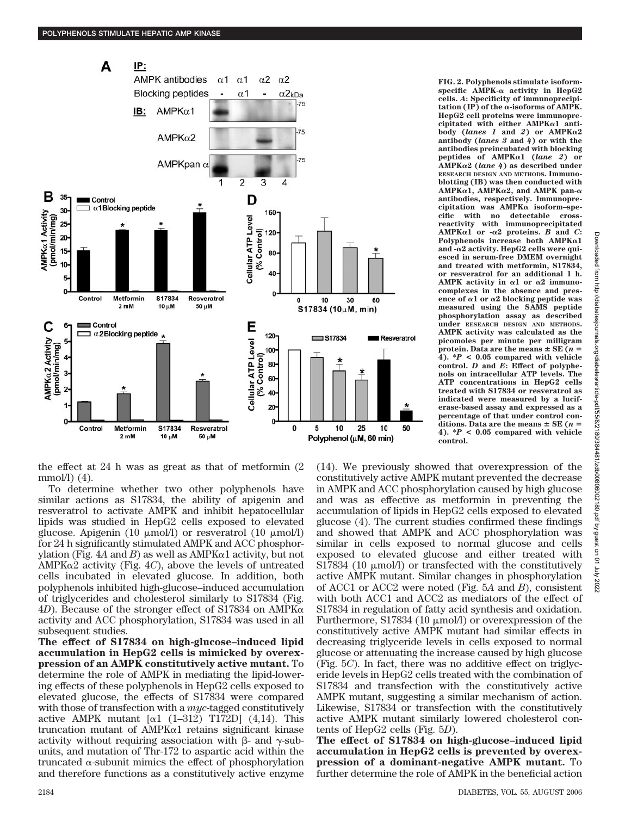

the effect at 24 h was as great as that of metformin (2  $mmol/l)$  (4).

To determine whether two other polyphenols have similar actions as S17834, the ability of apigenin and resveratrol to activate AMPK and inhibit hepatocellular lipids was studied in HepG2 cells exposed to elevated glucose. Apigenin (10  $\mu$ mol/l) or resveratrol (10  $\mu$ mol/l) for 24 h significantly stimulated AMPK and ACC phosphorylation (Fig.  $4A$  and  $B$ ) as well as AMPK $\alpha$ 1 activity, but not AMPK $\alpha$ 2 activity (Fig. 4*C*), above the levels of untreated cells incubated in elevated glucose. In addition, both polyphenols inhibited high-glucose–induced accumulation of triglycerides and cholesterol similarly to S17834 (Fig.  $4D$ ). Because of the stronger effect of S17834 on AMPK $\alpha$ activity and ACC phosphorylation, S17834 was used in all subsequent studies.

**The effect of S17834 on high-glucose–induced lipid accumulation in HepG2 cells is mimicked by overexpression of an AMPK constitutively active mutant.** To determine the role of AMPK in mediating the lipid-lowering effects of these polyphenols in HepG2 cells exposed to elevated glucose, the effects of S17834 were compared with those of transfection with a *myc*-tagged constitutively active AMPK mutant  $\left[\alpha\right]$  (1–312) T172D] (4,14). This truncation mutant of  $AMPK\alpha1$  retains significant kinase activity without requiring association with  $\beta$ - and  $\gamma$ -subunits, and mutation of Thr-172 to aspartic acid within the truncated  $\alpha$ -subunit mimics the effect of phosphorylation and therefore functions as a constitutively active enzyme **FIG. 2. Polyphenols stimulate isoform**specific AMPK- $\alpha$  activity in HepG2 **cells.** *A***: Specificity of immunoprecipi** $tation (IP) of the  $\alpha$ -isoforms of AMPK.$ **HepG2 cell proteins were immunoprecipitated with either AMPK1 antibody (***lanes 1* **and** *2***) or AMPK2 antibody (***lanes 3* **and** *4***) or with the antibodies preincubated with blocking peptides of AMPK1 (***lane 2***) or AMPK2 (***lane 4***) as described under RESEARCH DESIGN AND METHODS. Immunoblotting (IB) was then conducted with AMPK1, AMPK2, and AMPK pan antibodies, respectively. Immunopre**cipitation was AMPK $\alpha$  isoform-spe**cific with no detectable crossreactivity with immunoprecipitated AMPK** $\alpha$ **1** or  $-\alpha$ **2** proteins. *B* and *C*: **Polyphenols increase both AMPK1 and -2 activity. HepG2 cells were quiesced in serum-free DMEM overnight and treated with metformin, S17834, or resveratrol for an additional 1 h.** AMPK activity in  $\alpha$ 1 or  $\alpha$ 2 immuno**complexes in the absence and presence of 1 or 2 blocking peptide was measured using the SAMS peptide phosphorylation assay as described under RESEARCH DESIGN AND METHODS. AMPK activity was calculated as the picomoles per minute per milligram protein.** Data are the means  $\pm$  SE ( $n =$ **4). \****P* **< 0.05 compared with vehicle control.** *D* **and** *E***: Effect of polyphenols on intracellular ATP levels. The ATP concentrations in HepG2 cells treated with S17834 or resveratrol as indicated were measured by a luciferase-based assay and expressed as a percentage of that under control con**ditions. Data are the means  $\pm$  SE ( $n =$ **4). \****P* **< 0.05 compared with vehicle control.**

(14). We previously showed that overexpression of the constitutively active AMPK mutant prevented the decrease in AMPK and ACC phosphorylation caused by high glucose and was as effective as metformin in preventing the accumulation of lipids in HepG2 cells exposed to elevated glucose (4). The current studies confirmed these findings and showed that AMPK and ACC phosphorylation was similar in cells exposed to normal glucose and cells exposed to elevated glucose and either treated with S17834 (10  $\mu$ mol/l) or transfected with the constitutively active AMPK mutant. Similar changes in phosphorylation of ACC1 or ACC2 were noted (Fig. 5*A* and *B*), consistent with both ACC1 and ACC2 as mediators of the effect of S17834 in regulation of fatty acid synthesis and oxidation. Furthermore, S17834 (10  $\mu$ mol/l) or overexpression of the constitutively active AMPK mutant had similar effects in decreasing triglyceride levels in cells exposed to normal glucose or attenuating the increase caused by high glucose (Fig. 5*C*). In fact, there was no additive effect on triglyceride levels in HepG2 cells treated with the combination of S17834 and transfection with the constitutively active AMPK mutant, suggesting a similar mechanism of action. Likewise, S17834 or transfection with the constitutively active AMPK mutant similarly lowered cholesterol contents of HepG2 cells (Fig. 5*D*).

**The effect of S17834 on high-glucose–induced lipid accumulation in HepG2 cells is prevented by overexpression of a dominant-negative AMPK mutant.** To further determine the role of AMPK in the beneficial action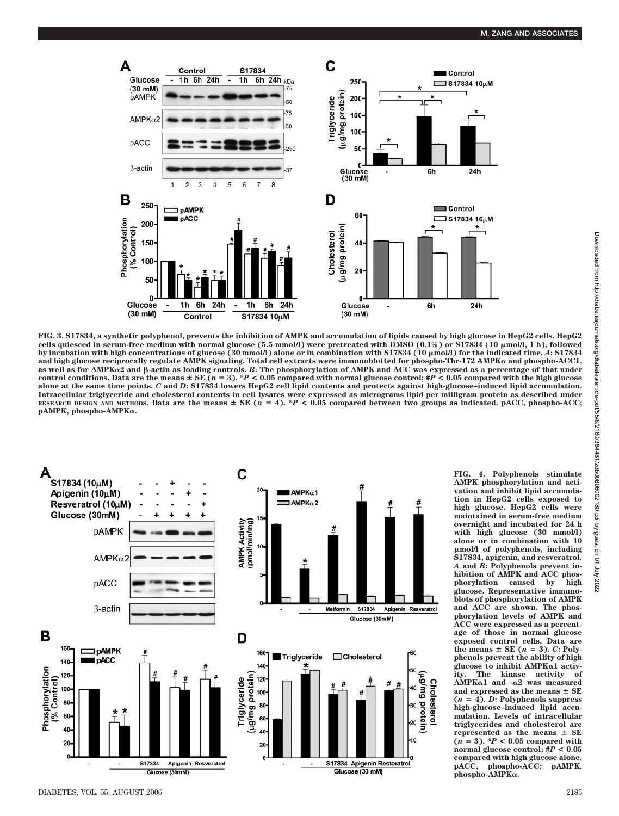

**FIG. 3. S17834, a synthetic polyphenol, prevents the inhibition of AMPK and accumulation of lipids caused by high glucose in HepG2 cells. HepG2** cells quiesced in serum-free medium with normal glucose (5.5 mmol/l) were pretreated with DMSO (0.1%) or S17834 (10 μmol/l, 1 h), followed **by incubation with high concentrations of glucose (30 mmol/l) alone or in combination with S17834 (10 μmol/l) for the indicated time. A: S17834 and high glucose reciprocally regulate AMPK signaling. Total cell extracts were immunoblotted for phospho-Thr-172 AMPK and phospho-ACC1, as well as for AMPK2 and -actin as loading controls.** *B***: The phosphorylation of AMPK and ACC was expressed as a percentage of that under control conditions. Data are the means**  $\pm$  **SE** ( $n = 3$ ). \**P* < 0.05 compared with normal glucose control;  $\sharp P$  < 0.05 compared with the high glucose **alone at the same time points.** *C* **and** *D***: S17834 lowers HepG2 cell lipid contents and protects against high-glucose–induced lipid accumulation. Intracellular triglyceride and cholesterol contents in cell lysates were expressed as micrograms lipid per milligram protein as described under** RESEARCH DESIGN AND METHODS. Data are the means  $\pm$  SE ( $n = 4$ ). \*P < 0.05 compared between two groups as indicated. pACC, phospho-ACC; **pAMPK, phospho-AMPK.**



**FIG. 4. Polyphenols stimulate AMPK phosphorylation and activation and inhibit lipid accumulation in HepG2 cells exposed to high glucose. HepG2 cells were maintained in serum-free medium overnight and incubated for 24 h with high glucose (30 mmol/l) alone or in combination with 10** -**mol/l of polyphenols, including S17834, apigenin, and resveratrol.** *A* **and** *B***: Polyphenols prevent inhibition of AMPK and ACC phos**phorylation caused by **glucose. Representative immunoblots of phosphorylation of AMPK and ACC are shown. The phosphorylation levels of AMPK and ACC were expressed as a percentage of those in normal glucose exposed control cells. Data are** the means  $\pm$  SE ( $n = 3$ ). *C*: Poly**phenols prevent the ability of high** glucose to inhibit AMPK<sup> $\alpha$ 1</sup> activ-<br>ity. The kinase activity of kinase activity of **AMPK1 and -2 was measured** and expressed as the means  $\pm$  SE  $(n = 4)$ . *D*: Polyphenols suppress **high-glucose–induced lipid accumulation. Levels of intracellular triglycerides and cholesterol are represented as the means**  $\pm$  **SE**<br>  $(n = 3)$ . \* $P < 0.05$  compared with **normal glucose control; #***P* **< 0.05 compared with high glucose alone. pACC, phospho-ACC; pAMPK, phospho-AMPK.**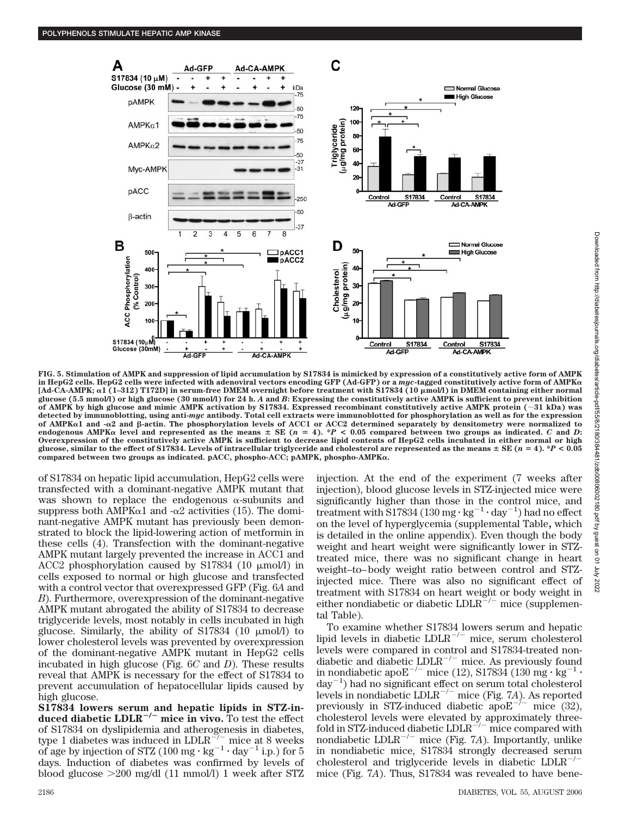

**FIG. 5. Stimulation of AMPK and suppression of lipid accumulation by S17834 is mimicked by expression of a constitutively active form of AMPK in HepG2 cells. HepG2 cells were infected with adenoviral vectors encoding GFP (Ad-GFP) or a** *myc***-tagged constitutively active form of AMPK** [Ad-CA-AMPK; α1 (1–312) T172D] in serum-free DMEM overnight before treatment with S17834 (10 µmol/l) in DMEM containing either normal **glucose (5.5 mmol/l) or high glucose (30 mmol/l) for 24 h.** *A* **and** *B***: Expressing the constitutively active AMPK is sufficient to prevent inhibition of AMPK by high glucose and mimic AMPK activation by S17834. Expressed recombinant constitutively active AMPK protein (31 kDa) was detected by immunoblotting, using anti-***myc* **antibody. Total cell extracts were immunoblotted for phosphorylation as well as for the expression of AMPK1 and -2 and -actin. The phosphorylation levels of ACC1 or ACC2 determined separately by densitometry were normalized to** endogenous AMPK $\alpha$  level and represented as the means  $\pm$  SE ( $n = 4$ ). \**P* < 0.05 compared between two groups as indicated. *C* and *D*: **Overexpression of the constitutively active AMPK is sufficient to decrease lipid contents of HepG2 cells incubated in either normal or high glucose, similar to the effect of S17834. Levels of intracellular triglyceride and cholesterol are represented as the means**  $\pm$  **SE (** $n = 4$ **). \*** $P < 0.05$ **compared between two groups as indicated. pACC, phospho-ACC; pAMPK, phospho-AMPK.**

of S17834 on hepatic lipid accumulation, HepG2 cells were transfected with a dominant-negative AMPK mutant that was shown to replace the endogenous  $\alpha$ -subunits and suppress both AMPK $\alpha$ 1 and - $\alpha$ 2 activities (15). The dominant-negative AMPK mutant has previously been demonstrated to block the lipid-lowering action of metformin in these cells (4). Transfection with the dominant-negative AMPK mutant largely prevented the increase in ACC1 and ACC2 phosphorylation caused by S17834 (10  $\mu$ mol/l) in cells exposed to normal or high glucose and transfected with a control vector that overexpressed GFP (Fig. 6*A* and *B*). Furthermore, overexpression of the dominant-negative AMPK mutant abrogated the ability of S17834 to decrease triglyceride levels, most notably in cells incubated in high glucose. Similarly, the ability of S17834 (10  $\mu$ mol/l) to lower cholesterol levels was prevented by overexpression of the dominant-negative AMPK mutant in HepG2 cells incubated in high glucose (Fig. 6*C* and *D*). These results reveal that AMPK is necessary for the effect of S17834 to prevent accumulation of hepatocellular lipids caused by high glucose.

**S17834 lowers serum and hepatic lipids in STZ-in**duced diabetic LDLR<sup>-/-</sup> mice in vivo. To test the effect of S17834 on dyslipidemia and atherogenesis in diabetes, type 1 diabetes was induced in  $LDLR^{-/-}$  mice at 8 weeks of age by injection of STZ (100 mg  $\cdot$  kg<sup>-1</sup>  $\cdot$  day<sup>-1</sup> i.p.) for 5 days. Induction of diabetes was confirmed by levels of blood glucose 200 mg/dl (11 mmol/l) 1 week after STZ injection. At the end of the experiment (7 weeks after injection), blood glucose levels in STZ-injected mice were significantly higher than those in the control mice, and treatment with S17834 (130 mg  $\cdot$  kg<sup>-1</sup>  $\cdot$  day<sup>-1</sup>) had no effect on the level of hyperglycemia (supplemental Table**,** which is detailed in the online appendix). Even though the body weight and heart weight were significantly lower in STZtreated mice, there was no significant change in heart weight–to– body weight ratio between control and STZinjected mice. There was also no significant effect of treatment with S17834 on heart weight or body weight in either nondiabetic or diabetic  $LDLR^{\alpha-/-}$  mice (supplemental Table).

To examine whether S17834 lowers serum and hepatic lipid levels in diabetic  $LDLR^{-/-}$  mice, serum cholesterol levels were compared in control and S17834-treated nondiabetic and diabetic  $LDLR^{-/-}$  mice. As previously found in nondiabetic apo $\mathrm{E}^{-/-}$  mice (12), S17834 (130 mg $\cdot$  kg $^{-1}$   $\cdot$ day-1 ) had no significant effect on serum total cholesterol levels in nondiabetic LDLR-/- mice (Fig. 7*A*). As reported previously in STZ-induced diabetic apo $E^{-\hat{i}-}$  mice (32), cholesterol levels were elevated by approximately threefold in STZ-induced diabetic  $LDLR^{-/-}$  mice compared with nondiabetic LDLR-/- mice (Fig. 7*A*). Importantly, unlike in nondiabetic mice,  $S17834$  strongly decreased serum<br>cholesterol and trigueoride levels in diabetic  $IDIB^{-/-}$ cholesterol and triglyceride levels in diabetic LDLRmice (Fig. 7*A*). Thus, S17834 was revealed to have bene-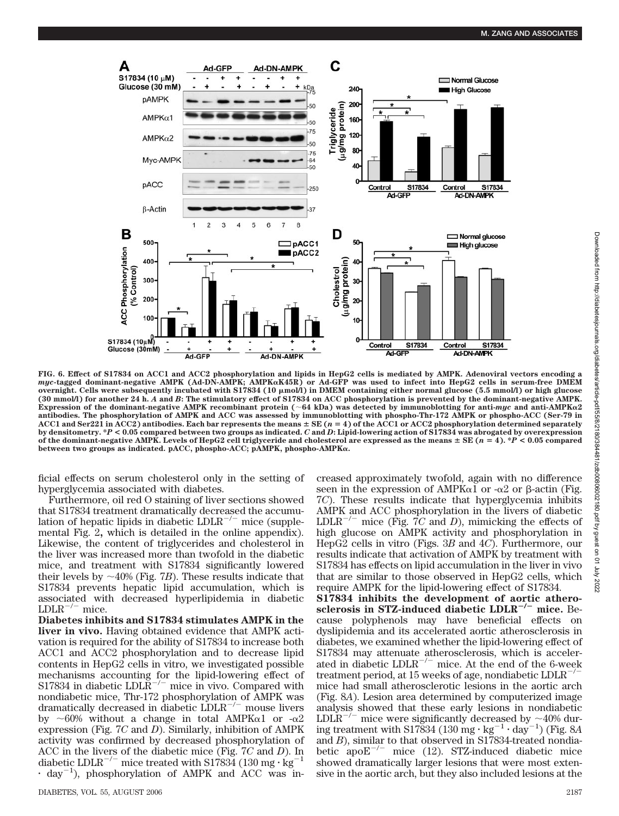

**FIG. 6. Effect of S17834 on ACC1 and ACC2 phosphorylation and lipids in HepG2 cells is mediated by AMPK. Adenoviral vectors encoding a** *myc***-tagged dominant-negative AMPK (Ad-DN-AMPK; AMPKK45R) or Ad-GFP was used to infect into HepG2 cells in serum-free DMEM** overnight. Cells were subsequently incubated with S17834 (10 μmol/l) in DMEM containing either normal glucose (5.5 mmol/l) or high glucose **(30 mmol/l) for another 24 h.** *A* **and** *B***: The stimulatory effect of S17834 on ACC phosphorylation is prevented by the dominant-negative AMPK.** Expression of the dominant-negative AMPK recombinant protein ( $\sim 64$  kDa) was detected by immunoblotting for anti-*myc* and anti-AMPK $\alpha$ 2 **antibodies. The phosphorylation of AMPK and ACC was assessed by immunoblotting with phospho-Thr-172 AMPK or phospho-ACC (Ser-79 in ACC1 and Ser221 in ACC2) antibodies. Each bar represents the means SE (***n* **4) of the ACC1 or ACC2 phosphorylation determined separately by densitometry. \****P* **< 0.05 compared between two groups as indicated.** *C* **and** *D***: Lipid-lowering action of S17834 was abrogated by overexpression of the dominant-negative AMPK. Levels of HepG2 cell triglyceride and cholesterol are expressed as the means SE (***n* **4). \****P* **< 0.05 compared between two groups as indicated. pACC, phospho-ACC; pAMPK, phospho-AMPK.**

ficial effects on serum cholesterol only in the setting of hyperglycemia associated with diabetes.

Furthermore, oil red O staining of liver sections showed that S17834 treatment dramatically decreased the accumulation of hepatic lipids in diabetic  $LDLR^{-/-}$  mice (supplemental Fig. 2**,** which is detailed in the online appendix). Likewise, the content of triglycerides and cholesterol in the liver was increased more than twofold in the diabetic mice, and treatment with S17834 significantly lowered their levels by  $\sim$ 40% (Fig. 7*B*). These results indicate that S17834 prevents hepatic lipid accumulation, which is associated with decreased hyperlipidemia in diabetic  $LDLR^{-/-}$  mice.

**Diabetes inhibits and S17834 stimulates AMPK in the liver in vivo.** Having obtained evidence that AMPK activation is required for the ability of S17834 to increase both ACC1 and ACC2 phosphorylation and to decrease lipid contents in HepG2 cells in vitro, we investigated possible mechanisms accounting for the lipid-lowering effect of S17834 in diabetic  $LDLR^{-/-}$  mice in vivo. Compared with nondiabetic mice, Thr-172 phosphorylation of AMPK was dramatically decreased in diabetic  $LDLR^{-/-}$  mouse livers by  $\sim 60\%$  without a change in total AMPK $\alpha$ 1 or  $-\alpha$ 2 expression (Fig. 7*C* and *D*). Similarly, inhibition of AMPK activity was confirmed by decreased phosphorylation of ACC in the livers of the diabetic mice (Fig.  $7C$  and *D*). In diabetic I DJ  $R^{-/-}$  mice tracted with \$17834  $(130 \text{ ms} \cdot \text{kg}^{-1})$ diabetic  $LDLR^{-/-}$  mice treated with S17834 (130 mg  $\cdot$  kg<sup>-</sup>  $\cdot$  day<sup>-1</sup>), phosphorylation of AMPK and ACC was increased approximately twofold, again with no difference seen in the expression of AMPK $\alpha$ 1 or - $\alpha$ 2 or  $\beta$ -actin (Fig. 7*C*). These results indicate that hyperglycemia inhibits AMPK and ACC phosphorylation in the livers of diabetic  $LDLR^{-/-}$  mice (Fig. 7*C* and *D*), mimicking the effects of high glucose on AMPK activity and phosphorylation in HepG2 cells in vitro (Figs. 3*B* and 4*C*). Furthermore, our results indicate that activation of AMPK by treatment with S17834 has effects on lipid accumulation in the liver in vivo that are similar to those observed in HepG2 cells, which require AMPK for the lipid-lowering effect of S17834.

**S17834 inhibits the development of aortic atherosclerosis in STZ-induced diabetic LDLR<sup>-/-</sup> mice.** Because polyphenols may have beneficial effects on dyslipidemia and its accelerated aortic atherosclerosis in diabetes, we examined whether the lipid-lowering effect of S17834 may attenuate atherosclerosis, which is accelerated in diabetic  $LDLR^{-/-}$  mice. At the end of the 6-week<br>treatment period at 15 weeks of age pendiabetic  $LDLP^{-/-}$ treatment period, at 15 weeks of age, nondiabetic LDLRmice had small atherosclerotic lesions in the aortic arch (Fig. 8*A*). Lesion area determined by computerized image analysis showed that these early lesions in nondiabetic LDLR<sup>-/-</sup> mice were significantly decreased by  $\sim$ 40% during treatment with S17834 (130 mg  $\cdot$  kg<sup>-1</sup>  $\cdot$  day<sup>-1</sup>) (Fig. 8A and *B*), similar to that observed in S17834-treated nondiabetic  $apoE^{-/-}$  mice (12). STZ-induced diabetic mice showed dramatically larger lesions that were most extensive in the aortic arch, but they also included lesions at the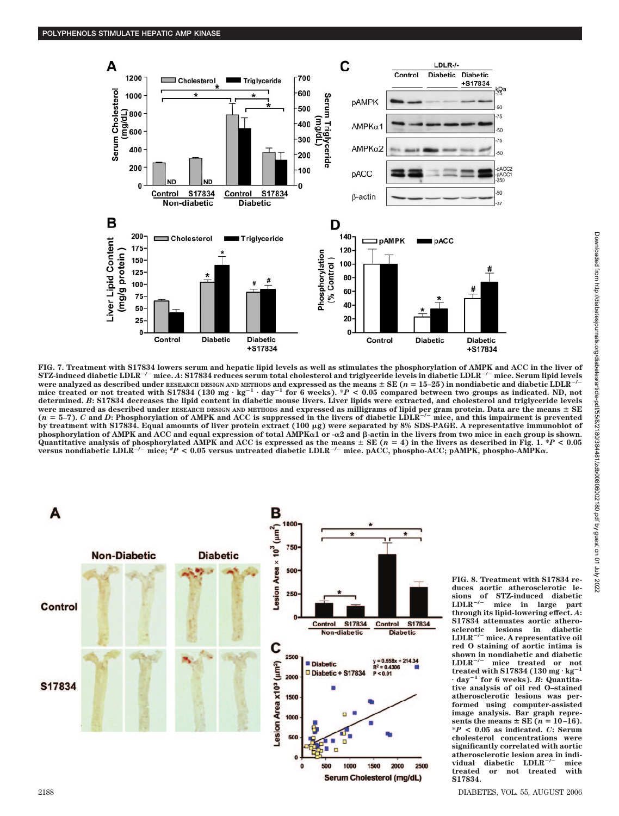

FIG. 7. Treatment with S17834 lowers serum and hepatic lipid levels as well as stimulates the phosphorylation of AMPK and ACC in the liver of<br>STZ-induced diabetic LDLR<sup>–/–</sup> mice. *A*: S17834 reduces serum total cholesterol **were analyzed as described under RESEARCH DESIGN AND METHODS and expressed as the means**  $\pm$  **SE (** $n = 15-25$ **) in nondiabetic and diabetic LDLR<sup>-/-</sup>** mice treated or not treated with S17834 (130 mg·kg<sup>-1</sup>·day<sup>-1</sup> for 6 weeks). \*P < 0.05 compared between two groups as indicated. ND, not<br>determined. *B*: S17834 decreases the lipid content in diabetic mouse livers. Liver l were measured as described under RESEARCH DESIGN AND METHODS and expressed as milligrams of lipid per gram protein. Data are the means  $\pm$  SE ( $n = 5-7$ ). C and D: Phosphorylation of AMPK and ACC is suppressed in the live by treatment with S17834. Equal amounts of liver protein extract (100 μg) were separated by 8% SDS-PAGE. A representative immunoblot of **phosphorylation of AMPK and ACC and equal expression of total AMPK1 or -2 and -actin in the livers from two mice in each group is shown.** Quantitative analysis of phosphorylated AMPK and ACC is expressed as the means ± SE (n = 4) in the livers as described in Fig. 1. \*P < 0.05<br>versus nondiabetic LDLR<sup>-/–</sup> mice; \*P < 0.05 versus untreated diabetic LDLR<sup>-/–</sup>



**FIG. 8. Treatment with S17834 reduces aortic atherosclerotic le**sions of STZ-induced diabetic<br>LDLR<sup>-/-</sup> mice in large part mice in large **through its lipid-lowering effect.** *A***: S17834 attenuates aortic atherosclerotic lesions in diabetic LDLR/ mice. A representative oil red O staining of aortic intima is shown in nondiabetic and diabetic LDLR/ mice treated or not**  $LDLR^{-/-}$  mice treated or not<br>treated with S17834 (130 mg·kg<sup>-1</sup> **day<sup>1</sup> for 6 weeks).** *B***: Quantitative analysis of oil red O–stained atherosclerotic lesions was performed using computer-assisted**  $i$  mage analysis. Bar graph represents the means  $\pm$  SE ( $n = 10-16$ ). **\****P* **< 0.05 as indicated.** *C***: Serum cholesterol concentrations were significantly correlated with aortic atherosclerotic lesion area in individual diabetic LDLR/ mice treated or not treated with S17834.**

2188 DIABETES, VOL. 55, AUGUST 2006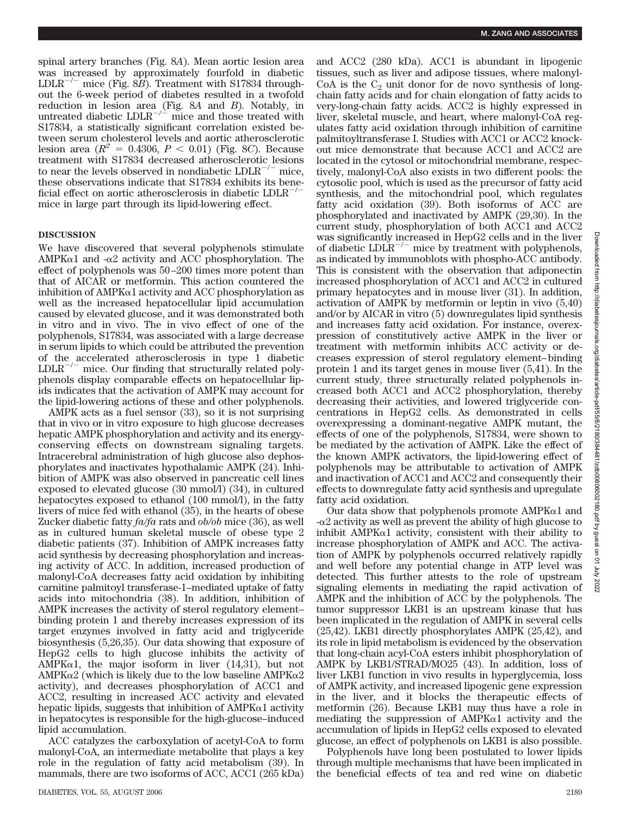spinal artery branches (Fig. 8*A*). Mean aortic lesion area was increased by approximately fourfold in diabetic LDLR-/- mice (Fig. 8*B*). Treatment with S17834 throughout the 6-week period of diabetes resulted in a twofold reduction in lesion area (Fig. 8*A* and *B*). Notably, in untreated diabetic  $LDLR^{-/2}$  mice and those treated with S17834, a statistically significant correlation existed between serum cholesterol levels and aortic atherosclerotic lesion area  $(R^2 = 0.4306, P < 0.01)$  (Fig. 8*C*). Because treatment with S17834 decreased atherosclerotic lesions to near the levels observed in nondiabetic  $LDLR^{-/-}$  mice, these observations indicate that S17834 exhibits its beneficial effect on aortic atherosclerosis in diabetic  $LDLR^{-/-}$ mice in large part through its lipid-lowering effect.

# **DISCUSSION**

We have discovered that several polyphenols stimulate AMPK $\alpha$ 1 and - $\alpha$ 2 activity and ACC phosphorylation. The effect of polyphenols was 50 –200 times more potent than that of AICAR or metformin. This action countered the inhibition of AMPK $\alpha$ 1 activity and ACC phosphorylation as well as the increased hepatocellular lipid accumulation caused by elevated glucose, and it was demonstrated both in vitro and in vivo. The in vivo effect of one of the polyphenols, S17834, was associated with a large decrease in serum lipids to which could be attributed the prevention of the accelerated atherosclerosis in type 1 diabetic  $LDLR^{-/-}$  mice. Our finding that structurally related polyphenols display comparable effects on hepatocellular lipids indicates that the activation of AMPK may account for the lipid-lowering actions of these and other polyphenols.

AMPK acts as a fuel sensor (33), so it is not surprising that in vivo or in vitro exposure to high glucose decreases hepatic AMPK phosphorylation and activity and its energyconserving effects on downstream signaling targets. Intracerebral administration of high glucose also dephosphorylates and inactivates hypothalamic AMPK (24). Inhibition of AMPK was also observed in pancreatic cell lines exposed to elevated glucose (30 mmol/l) (34), in cultured hepatocytes exposed to ethanol (100 mmol/l), in the fatty livers of mice fed with ethanol (35), in the hearts of obese Zucker diabetic fatty *fa/fa* rats and *ob/ob* mice (36), as well as in cultured human skeletal muscle of obese type 2 diabetic patients (37). Inhibition of AMPK increases fatty acid synthesis by decreasing phosphorylation and increasing activity of ACC. In addition, increased production of malonyl-CoA decreases fatty acid oxidation by inhibiting carnitine palmitoyl transferase-1–mediated uptake of fatty acids into mitochondria (38). In addition, inhibition of AMPK increases the activity of sterol regulatory element– binding protein 1 and thereby increases expression of its target enzymes involved in fatty acid and triglyceride biosynthesis (5,26,35). Our data showing that exposure of HepG2 cells to high glucose inhibits the activity of AMPK $\alpha$ 1, the major isoform in liver (14,31), but not  $AMPK\alpha2$  (which is likely due to the low baseline  $AMPK\alpha2$ activity), and decreases phosphorylation of ACC1 and ACC2, resulting in increased ACC activity and elevated hepatic lipids, suggests that inhibition of  $AMPK\alpha1$  activity in hepatocytes is responsible for the high-glucose–induced lipid accumulation.

ACC catalyzes the carboxylation of acetyl-CoA to form malonyl-CoA, an intermediate metabolite that plays a key role in the regulation of fatty acid metabolism (39). In mammals, there are two isoforms of ACC, ACC1 (265 kDa) and ACC2 (280 kDa). ACC1 is abundant in lipogenic tissues, such as liver and adipose tissues, where malonyl-CoA is the  $C_2$  unit donor for de novo synthesis of longchain fatty acids and for chain elongation of fatty acids to very-long-chain fatty acids. ACC2 is highly expressed in liver, skeletal muscle, and heart, where malonyl-CoA regulates fatty acid oxidation through inhibition of carnitine palmitoyltransferase I. Studies with ACC1 or ACC2 knockout mice demonstrate that because ACC1 and ACC2 are located in the cytosol or mitochondrial membrane, respectively, malonyl-CoA also exists in two different pools: the cytosolic pool, which is used as the precursor of fatty acid synthesis, and the mitochondrial pool, which regulates fatty acid oxidation (39). Both isoforms of ACC are phosphorylated and inactivated by AMPK (29,30). In the current study, phosphorylation of both ACC1 and ACC2 was significantly increased in HepG2 cells and in the liver of diabetic  $LDLR^{-/-}$  mice by treatment with polyphenols, as indicated by immunoblots with phospho-ACC antibody. This is consistent with the observation that adiponectin increased phosphorylation of ACC1 and ACC2 in cultured primary hepatocytes and in mouse liver (31). In addition, activation of AMPK by metformin or leptin in vivo (5,40) and/or by AICAR in vitro (5) downregulates lipid synthesis and increases fatty acid oxidation. For instance, overexpression of constitutively active AMPK in the liver or treatment with metformin inhibits ACC activity or decreases expression of sterol regulatory element– binding protein 1 and its target genes in mouse liver (5,41). In the current study, three structurally related polyphenols increased both ACC1 and ACC2 phosphorylation, thereby decreasing their activities, and lowered triglyceride concentrations in HepG2 cells. As demonstrated in cells overexpressing a dominant-negative AMPK mutant, the effects of one of the polyphenols, S17834, were shown to be mediated by the activation of AMPK. Like the effect of the known AMPK activators, the lipid-lowering effect of polyphenols may be attributable to activation of AMPK and inactivation of ACC1 and ACC2 and consequently their effects to downregulate fatty acid synthesis and upregulate fatty acid oxidation.

Our data show that polyphenols promote  $AMPK\alpha1$  and  $-\alpha$ 2 activity as well as prevent the ability of high glucose to inhibit AMPK $\alpha$ 1 activity, consistent with their ability to increase phosphorylation of AMPK and ACC. The activation of AMPK by polyphenols occurred relatively rapidly and well before any potential change in ATP level was detected. This further attests to the role of upstream signaling elements in mediating the rapid activation of AMPK and the inhibition of ACC by the polyphenols. The tumor suppressor LKB1 is an upstream kinase that has been implicated in the regulation of AMPK in several cells (25,42). LKB1 directly phosphorylates AMPK (25,42), and its role in lipid metabolism is evidenced by the observation that long-chain acyl-CoA esters inhibit phosphorylation of AMPK by LKB1/STRAD/MO25 (43). In addition, loss of liver LKB1 function in vivo results in hyperglycemia, loss of AMPK activity, and increased lipogenic gene expression in the liver, and it blocks the therapeutic effects of metformin (26). Because LKB1 may thus have a role in mediating the suppression of  $AMPK\alpha1$  activity and the accumulation of lipids in HepG2 cells exposed to elevated glucose, an effect of polyphenols on LKB1 is also possible.

Polyphenols have long been postulated to lower lipids through multiple mechanisms that have been implicated in the beneficial effects of tea and red wine on diabetic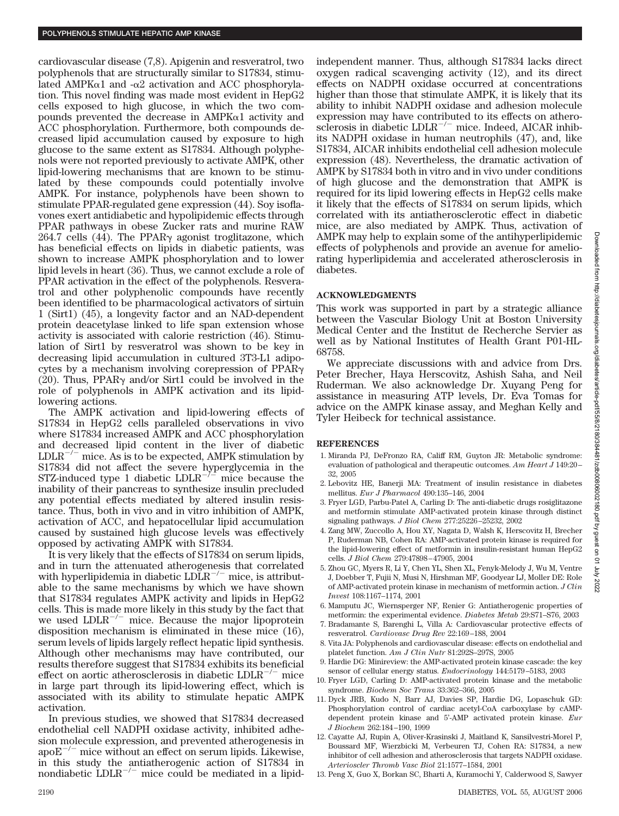cardiovascular disease (7,8). Apigenin and resveratrol, two polyphenols that are structurally similar to S17834, stimulated AMPK $\alpha$ 1 and - $\alpha$ 2 activation and ACC phosphorylation. This novel finding was made most evident in HepG2 cells exposed to high glucose, in which the two compounds prevented the decrease in  $AMPK\alpha1$  activity and ACC phosphorylation. Furthermore, both compounds decreased lipid accumulation caused by exposure to high glucose to the same extent as S17834. Although polyphenols were not reported previously to activate AMPK, other lipid-lowering mechanisms that are known to be stimulated by these compounds could potentially involve AMPK. For instance, polyphenols have been shown to stimulate PPAR-regulated gene expression (44). Soy isoflavones exert antidiabetic and hypolipidemic effects through PPAR pathways in obese Zucker rats and murine RAW 264.7 cells (44). The PPAR $\gamma$  agonist troglitazone, which has beneficial effects on lipids in diabetic patients, was shown to increase AMPK phosphorylation and to lower lipid levels in heart (36). Thus, we cannot exclude a role of PPAR activation in the effect of the polyphenols. Resveratrol and other polyphenolic compounds have recently been identified to be pharmacological activators of sirtuin 1 (Sirt1) (45), a longevity factor and an NAD-dependent protein deacetylase linked to life span extension whose activity is associated with calorie restriction (46). Stimulation of Sirt1 by resveratrol was shown to be key in decreasing lipid accumulation in cultured 3T3-L1 adipocytes by a mechanism involving corepression of  $PPAR<sub>\gamma</sub>$ (20). Thus, PPAR $\gamma$  and/or Sirt1 could be involved in the role of polyphenols in AMPK activation and its lipidlowering actions.

The AMPK activation and lipid-lowering effects of S17834 in HepG2 cells paralleled observations in vivo where S17834 increased AMPK and ACC phosphorylation and decreased lipid content in the liver of diabetic  $LDLR^{-/-}$  mice. As is to be expected, AMPK stimulation by S17834 did not affect the severe hyperglycemia in the  $STZ$ -induced type 1 diabetic  $LDLR^{-1/2}$  mice because the inability of their pancreas to synthesize insulin precluded any potential effects mediated by altered insulin resistance. Thus, both in vivo and in vitro inhibition of AMPK, activation of ACC, and hepatocellular lipid accumulation caused by sustained high glucose levels was effectively opposed by activating AMPK with S17834.

It is very likely that the effects of S17834 on serum lipids, and in turn the attenuated atherogenesis that correlated with hyperlipidemia in diabetic  $LDLR^{-/-}$  mice, is attributable to the same mechanisms by which we have shown that S17834 regulates AMPK activity and lipids in HepG2 cells. This is made more likely in this study by the fact that we used  $LDLR^{-/-}$  mice. Because the major lipoprotein disposition mechanism is eliminated in these mice (16), serum levels of lipids largely reflect hepatic lipid synthesis. Although other mechanisms may have contributed, our results therefore suggest that S17834 exhibits its beneficial effect on aortic atherosclerosis in diabetic  $LDLR^{-/-}$  mice in large part through its lipid-lowering effect, which is associated with its ability to stimulate hepatic AMPK activation.

In previous studies, we showed that S17834 decreased endothelial cell NADPH oxidase activity, inhibited adhesion molecule expression, and prevented atherogenesis in  $apoE^{-/-}$  mice without an effect on serum lipids. Likewise, in this study the antiatherogenic action of S17834 in nondiabetic  $LDLR^{-/-}$  mice could be mediated in a lipidindependent manner. Thus, although S17834 lacks direct oxygen radical scavenging activity (12), and its direct effects on NADPH oxidase occurred at concentrations higher than those that stimulate AMPK, it is likely that its ability to inhibit NADPH oxidase and adhesion molecule expression may have contributed to its effects on atherosclerosis in diabetic LDLR<sup>-/-</sup> mice. Indeed, AICAR inhibits NADPH oxidase in human neutrophils (47), and, like S17834, AICAR inhibits endothelial cell adhesion molecule expression (48). Nevertheless, the dramatic activation of AMPK by S17834 both in vitro and in vivo under conditions of high glucose and the demonstration that AMPK is required for its lipid lowering effects in HepG2 cells make it likely that the effects of S17834 on serum lipids, which correlated with its antiatherosclerotic effect in diabetic mice, are also mediated by AMPK. Thus, activation of AMPK may help to explain some of the antihyperlipidemic effects of polyphenols and provide an avenue for ameliorating hyperlipidemia and accelerated atherosclerosis in diabetes.

## **ACKNOWLEDGMENTS**

This work was supported in part by a strategic alliance between the Vascular Biology Unit at Boston University Medical Center and the Institut de Recherche Servier as well as by National Institutes of Health Grant P01-HL-68758.

We appreciate discussions with and advice from Drs. Peter Brecher, Haya Herscovitz, Ashish Saha, and Neil Ruderman. We also acknowledge Dr. Xuyang Peng for assistance in measuring ATP levels, Dr. Eva Tomas for advice on the AMPK kinase assay, and Meghan Kelly and Tyler Heibeck for technical assistance.

## **REFERENCES**

- 1. Miranda PJ, DeFronzo RA, Califf RM, Guyton JR: Metabolic syndrome: evaluation of pathological and therapeutic outcomes. *Am Heart J* 149:20 – 32, 2005
- 2. Lebovitz HE, Banerji MA: Treatment of insulin resistance in diabetes mellitus. *Eur J Pharmacol* 490:135–146, 2004
- 3. Fryer LGD, Parbu-Patel A, Carling D: The anti-diabetic drugs rosiglitazone and metformin stimulate AMP-activated protein kinase through distinct signaling pathways. *J Biol Chem* 277:25226 –25232, 2002
- 4. Zang MW, Zuccollo A, Hou XY, Nagata D, Walsh K, Herscovitz H, Brecher P, Ruderman NB, Cohen RA: AMP-activated protein kinase is required for the lipid-lowering effect of metformin in insulin-resistant human HepG2 cells. *J Biol Chem* 279:47898 – 47905, 2004
- 5. Zhou GC, Myers R, Li Y, Chen YL, Shen XL, Fenyk-Melody J, Wu M, Ventre J, Doebber T, Fujii N, Musi N, Hirshman MF, Goodyear LJ, Moller DE: Role of AMP-activated protein kinase in mechanism of metformin action. *J Clin Invest* 108:1167–1174, 2001
- 6. Mamputu JC, Wiernsperger NF, Renier G: Antiatherogenic properties of metformin: the experimental evidence. *Diabetes Metab* 29:S71–S76, 2003
- 7. Bradamante S, Barenghi L, Villa A: Cardiovascular protective effects of resveratrol. *Cardiovasc Drug Rev* 22:169 –188, 2004
- 8. Vita JA: Polyphenols and cardiovascular disease: effects on endothelial and platelet function. *Am J Clin Nutr* 81:292S–297S, 2005
- 9. Hardie DG: Minireview: the AMP-activated protein kinase cascade: the key sensor of cellular energy status. *Endocrinology* 144:5179 –5183, 2003
- 10. Fryer LGD, Carling D: AMP-activated protein kinase and the metabolic syndrome. *Biochem Soc Trans* 33:362–366, 2005
- 11. Dyck JRB, Kudo N, Barr AJ, Davies SP, Hardie DG, Lopaschuk GD: Phosphorylation control of cardiac acetyl-CoA carboxylase by cAMPdependent protein kinase and 5'-AMP activated protein kinase. *Eur J Biochem* 262:184 –190, 1999
- 12. Cayatte AJ, Rupin A, Oliver-Krasinski J, Maitland K, Sansilvestri-Morel P, Boussard MF, Wierzbicki M, Verbeuren TJ, Cohen RA: S17834, a new inhibitor of cell adhesion and atherosclerosis that targets NADPH oxidase. *Arterioscler Thromb Vasc Biol* 21:1577–1584, 2001
- 13. Peng X, Guo X, Borkan SC, Bharti A, Kuramochi Y, Calderwood S, Sawyer